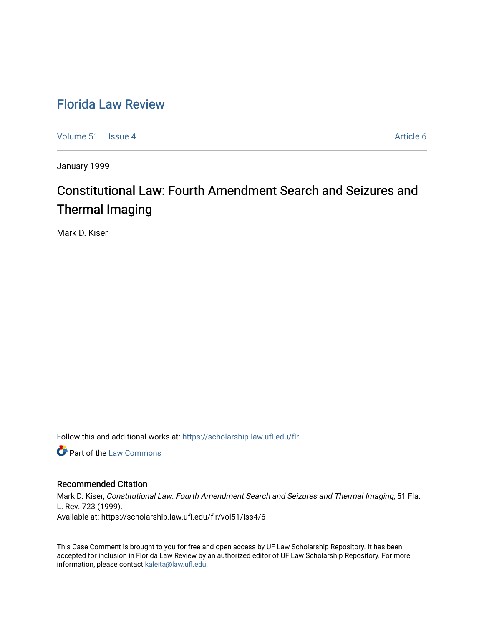## [Florida Law Review](https://scholarship.law.ufl.edu/flr)

[Volume 51](https://scholarship.law.ufl.edu/flr/vol51) | [Issue 4](https://scholarship.law.ufl.edu/flr/vol51/iss4) Article 6

January 1999

# Constitutional Law: Fourth Amendment Search and Seizures and Thermal Imaging

Mark D. Kiser

Follow this and additional works at: [https://scholarship.law.ufl.edu/flr](https://scholarship.law.ufl.edu/flr?utm_source=scholarship.law.ufl.edu%2Fflr%2Fvol51%2Fiss4%2F6&utm_medium=PDF&utm_campaign=PDFCoverPages)

**Part of the [Law Commons](http://network.bepress.com/hgg/discipline/578?utm_source=scholarship.law.ufl.edu%2Fflr%2Fvol51%2Fiss4%2F6&utm_medium=PDF&utm_campaign=PDFCoverPages)** 

## Recommended Citation

Mark D. Kiser, Constitutional Law: Fourth Amendment Search and Seizures and Thermal Imaging, 51 Fla. L. Rev. 723 (1999). Available at: https://scholarship.law.ufl.edu/flr/vol51/iss4/6

This Case Comment is brought to you for free and open access by UF Law Scholarship Repository. It has been accepted for inclusion in Florida Law Review by an authorized editor of UF Law Scholarship Repository. For more information, please contact [kaleita@law.ufl.edu.](mailto:kaleita@law.ufl.edu)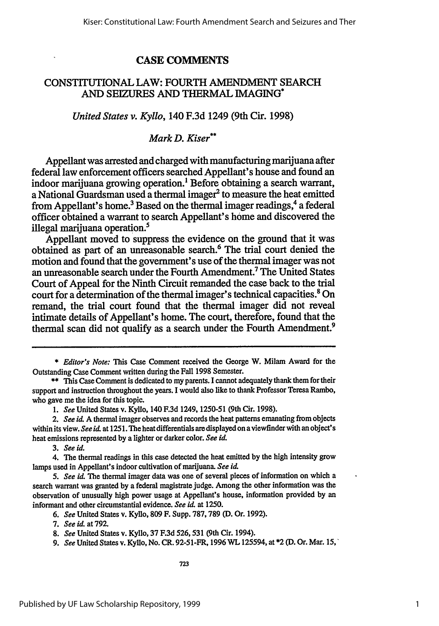## **CASE COMMENTS**

## CONSTITUTIONAL LAW: FOURTH AMENDMENT SEARCH AND SEIZURES **AND** THERMAL IMAGING\*

## *United States v. Kyllo,* 140 **F.3d** 1249 (9th Cir. **1998)**

## *Mark D. Kiser\**

Appellant was arrested and charged with manufacturing marijuana after federal law enforcement officers searched Appellant's house and found an indoor marijuana growing operation.<sup>1</sup> Before obtaining a search warrant, a National Guardsman used a thermal imager' to measure the heat emitted from Appellant's home.<sup>3</sup> Based on the thermal imager readings,<sup>4</sup> a federal officer obtained a warrant to search Appellant's home and discovered the illegal marijuana operation.'

Appellant moved to suppress the evidence on the ground that it was obtained as part of an unreasonable search.' The trial court denied the motion and found that the government's use of the thermal imager was not an unreasonable search under the Fourth Amendment.7 The United States Court of Appeal for the Ninth Circuit remanded the case back to the trial court for a determination of the thermal imager's technical capacities.' On remand, the trial court found that the thermal imager did not reveal intimate details of Appellant's home. The court, therefore, found that the thermal scan did not qualify as a search under the Fourth Amendment.9

*1. See* United States v. Kyllo, 140 F.3d 1249, 1250-51 (9th Cir. 1998).

*3. See id.*

<sup>\*</sup> *Editor's Note:* This Case Comment received the George W. Milam Award for the Outstanding Case Comment written during the Fall 1998 Semester.

<sup>\*\*</sup> This Case Comment is dedicated to my parents. I cannot adequately thank them for their support and instruction throughout the years. I would also like to thank Professor Teresa Rambo, who gave me the idea for this topic.

*<sup>2.</sup> See id.* A thermal imager observes and records the heat patterns emanating from objects within its view. *See id.* at 1251. The heat differentials are displayed on a viewfinder with an object's heat emissions represented by a lighter or darker color. *See id.*

<sup>4.</sup> The thermal readings in this case detected the heat emitted **by** the high intensity grow lamps used in Appellant's indoor cultivation of marijuana. *See id,*

*<sup>5.</sup> See i&* The thermal imager data was one of several pieces of information on which a search warrant was granted **by** a federal magistrate judge. Among the other information was the observation of unusually high power usage at Appellant's house, information provided by an informant and other circumstantial evidence. *See id.* at 1250.

*<sup>6.</sup> See* United States v. Kyllo, 809 F. Supp. 787,789 **(D.** Or. 1992).

*<sup>7.</sup> See id.* at 792.

*<sup>8.</sup> See* United States v. Kyllo, 37 F.3d 526,531 (9th Cir. 1994).

*<sup>9.</sup> See* United States v. Kyllo, No. CR. 92-51-FR, 1996 WL 125594, at \*2 (D. Or. Mar. 15,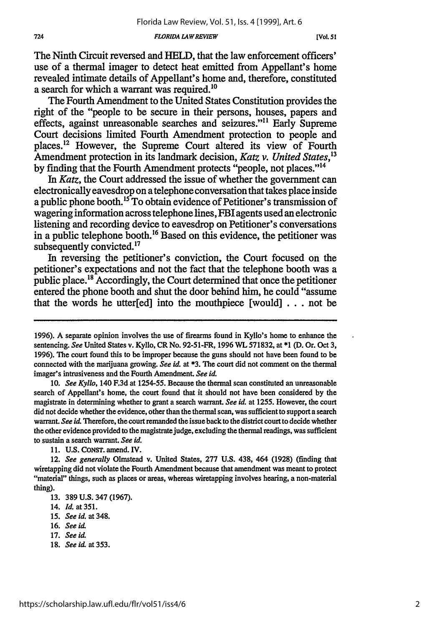#### *FLORIDA LAW REVIEW*

The Ninth Circuit reversed and HELD, that the law enforcement officers' use of a thermal imager to detect heat emitted from Appellant's home revealed intimate details of Appellant's home and, therefore, constituted a search for which a warrant was required.<sup>10</sup>

The Fourth Amendment to the United States Constitution provides the right of the "people to be secure in their persons, houses, papers and effects, against unreasonable searches and seizures."" Early Supreme Court decisions limited Fourth Amendment protection to people and places.<sup>12</sup> However, the Supreme Court altered its view of Fourth Amendment protection in its landmark decision, *Katz v. United States,<sup>3</sup>* by finding that the Fourth Amendment protects "people, not places."<sup>14</sup>

*In Katz,* the Court addressed the issue of whether the government can electronically eavesdrop on a telephone conversation that takes place inside a public phone booth.<sup>15</sup>To obtain evidence of Petitioner's transmission of wagering information across telephone lines, FBI agents used an electronic listening and recording device to eavesdrop on Petitioner's conversations in a public telephone booth.'6 Based on this evidence, the petitioner was subsequently convicted.<sup>17</sup>

In reversing the petitioner's conviction, the Court focused on the petitioner's expectations and not the fact that the telephone booth was a public place.<sup>18</sup> Accordingly, the Court determined that once the petitioner entered the phone booth and shut the door behind him, he could "assume that the words he utter[ed] into the mouthpiece  $[$ would $]$ ... not be

- 17. *See id.*
- 18. *See id.* at **353.**

<sup>1996).</sup> A separate opinion involves the use of firearms found in Kyllo's home to enhance the sentencing. See United States v. Kyllo, CR No. 92-51-FR, 1996 WL 571832, at \*1 (D. Or. Oct 3, 1996). The court found this to be improper because the guns should not have been found to be connected with the marijuana growing. See id. at **\*3.** The court did not comment on the thermal imager's intrusiveness and the Fourth Amendment. See id.

<sup>10.</sup> *See Kyllo,* 140 F.3d at 1254-55. Because the thermal scan constituted an unreasonable search of Appellant's home, the court found that it should not have been considered **by** the magistrate in determining whether to grant a search warrant. *See id.* at 1255. However, the court did not decide whether the evidence, other than the thermal scan, was sufficient to support a search warrant. *See id.* Therefore, the court remanded the issue back to the district court to decide whether the other evidence provided to the magistrate judge, excluding the thermal readings, was sufficient to sustain a search warrant. *See id.*

<sup>11.</sup> U.S. **CONST.** amend. IV.

<sup>12.</sup> *See generally* Olmstead v. United States, **277** U.S. 438, 464 (1928) (finding that wiretapping did not violate the Fourth Amendment because that amendment was meant to protect "material" things, such as places or areas, whereas wiretapping involves hearing, a non-material thing).

**<sup>13.</sup>** 389 **U.S.** 347 (1967).

<sup>14.</sup> *Id.* at 351.

<sup>15.</sup> *See id.* at 348.

<sup>16.</sup> *See* **iL**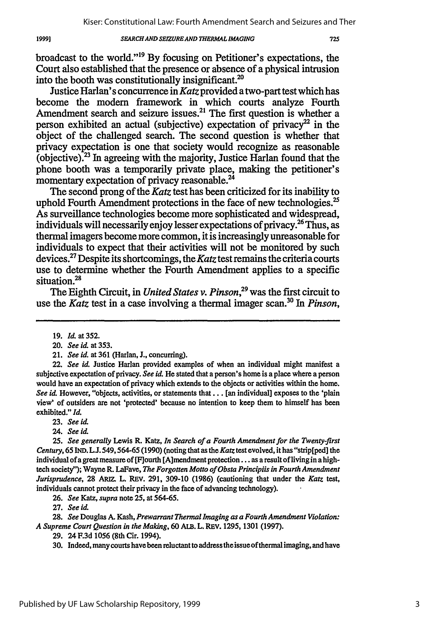### *SE4RCH AND SEIZURE AND THERMAL IMAGING*

725

broadcast to the world. <sup>19</sup>**By** focusing on Petitioner's expectations, the Court also established that the presence or absence of a physical intrusion into the booth was constitutionally insignificant.<sup>20</sup>

Justice Harlan's concurrence in *Katz* provided a two-part test which has become the modem framework in which courts analyze Fourth Amendment search and seizure issues.<sup>21</sup> The first question is whether a person exhibited an actual (subjective) expectation of privacy<sup>22</sup> in the object of the challenged search. The second question is whether that privacy expectation is one that society would recognize as reasonable (objective).23 In agreeing with the majority, Justice Harlan found that the phone booth was a temporarily private place, making the petitioner's momentary expectation of privacy reasonable.<sup>24</sup>

The second prong of the *Katz* test has been criticized for its inability to uphold Fourth Amendment protections in the face of new technologies.<sup>25</sup> As surveillance technologies become more sophisticated and widespread, individuals will necessarily enjoy lesser expectations of privacy.<sup>26</sup> Thus, as thermal imagers become more common, it is increasingly unreasonable for individuals to expect that their activities will not be monitored by such devices.27 Despite its shortcomings, the *Katz* test remains the criteria courts use to determine whether the Fourth Amendment applies to a specific situation.<sup>28</sup>

The Eighth Circuit, in *United States v. Pinson,29* was the first circuit to use the *Katz* test in a case involving a thermal imager scan.30 In *Pinson,*

**1999]**

22. *See id.* Justice Harlan provided examples of when an individual might manifest a subjective expectation of privacy. *See id.* He stated that a person's home is a place where a person would have an expectation of privacy which extends to the objects or activities within the home. *See id.* However, "objects, activities, or statements **that...** [an individual] exposes to the 'plain view' of outsiders are not 'protected' because no intention to keep them to himself has been exhibited." *Id*

24. *See id.*

*25. See generally* Lewis R. Katz, *In Search of a Fourth Amendment for the Twenty-first Century,* **65 IND. L.J. 549,564-65 (1990)** (noting that as the *Katz* test evolved, it has "strip[ped] the individual of a great measure of [F]ourth [A]mendment protection... as a result of living in a hightech society'); Wayne R. LaFave, *The Forgotten Motto of Obsta Principiis in Fourth Amendment Jurisprudence,* **28** ARIz. L. REV. **291, 309-10 (1986)** (cautioning that under the *Katz* test, individuals cannot protect their privacy in the face of advancing technology).

**26.** *See Katz, supra* note **25,** at **564-65.**

**27.** *See &l.*

**28.** *See* Douglas A. Kash, *Prewarrant Thermal Imaging as a Fourth Amendment Violation: A Supreme Court Question in the Making,* 60 ALB. L. **REV.** 1295, 1301 (1997).

**29.** 24 **F.3d 1056** (8th Cir. 1994).

30. Indeed, many courts have been reluctant to address theissue ofthermalimaging, and have

<sup>19.</sup> *Id.* at 352.

<sup>20.</sup> *See id.* at 353.

<sup>21.</sup> *See id.* at 361 (Harlan, J., concurring).

**<sup>23.</sup>** *See id.*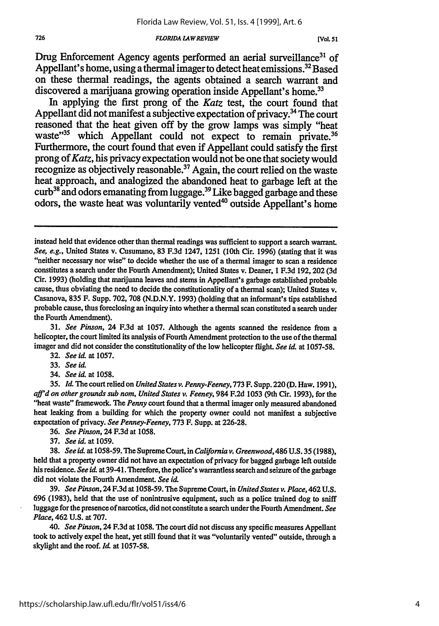#### *FLORIDA LAWREVIEW*

Drug Enforcement Agency agents performed an aerial surveillance<sup>31</sup> of Appellant's home, using a thermal imager to detect heat emissions.<sup>32</sup> Based on these thermal readings, the agents obtained a search warrant and discovered a marijuana growing operation inside Appellant's home.<sup>33</sup>

In applying the first prong of the *Katz* test, the court found that Appellant did not manifest a subjective expectation of privacy.<sup>34</sup> The court reasoned that the heat given off **by** the grow lamps was simply "heat waste"<sup>35</sup> which Appellant could not expect to remain private.<sup>36</sup> Furthermore, the court found that even if Appellant could satisfy the first prong of *Katz,* his privacy expectation would not be one that society would recognize as objectively reasonable.<sup>37</sup> Again, the court relied on the waste heat approach, and analogized the abandoned heat to garbage left at the curb<sup>38</sup> and odors emanating from luggage.<sup>39</sup> Like bagged garbage and these odors, the waste heat was voluntarily vented<sup>40</sup> outside Appellant's home

**31.** *See Pinson,* 24 F.3d at 1057. Although the agents scanned the residence from a helicopter, the court limited its analysis of Fourth Amendment protection to the use of the thermal imager and did not consider the constitutionality of the low helicopter flight. *See* id. at 1057-58.

**32.** *See id.* at 1057.

33. *See id.*

34. *See id.* at 1058.

**35.** Id. The court relied on *United States v. Penny-Feeney,* **773** F. Supp. 220 (D. Haw. 1991), **aj'd** *on other grounds sub nom, United States v. Feeney,* 984 F.2d 1053 (9th Cir. 1993), for the "heat waste" framework. The *Penny* court found that a thermal imager only measured abandoned heat leaking from a building for which the property owner could not manifest a subjective expectation of privacy. *See Penney-Feeney,* 773 F. Supp. at 226-28.

**36.** *See Pinson,* 24 F.3d at 1058.

**37.** *See id.* at 1059.

38. *See* id. at 1058-59. The Supreme Court, in *California v. Greenwood,* 486 U.S. 35 (1988), held that a property owner did not have an expectation of privacy for bagged garbage left outside his residence. *See id.* at 39-41. Therefore, the police's warrantless search and seizure of the garbage did not violate the Fourth Amendment. *See* id.

39. *See Pinson,* 24 F.3d at 1058-59. The Supreme Court, in *United States v. Place,* 462 U.S. 696 (1983), held that the use of nonintrusive equipment, such as a police trained dog to sniff luggage for the presence of narcotics, did not constitute a search under the Fourth Amendment. *See Place,* 462 **U.S.** at 707.

*40. See Pinson,* 24 F.3d at 1058. The court did not discuss any specific measures Appellant took to actively expel the heat, yet still found that it was "voluntarily vented" outside, through a skylight and the roof. *Id.* at 1057-58.

instead held that evidence other than thermal readings was sufficient to support a search warrant. *See, e.g.,* United States v. Cusumano, 83 F.3d 1247, 1251 (10th Cir. 1996) (stating that it was "neither necessary nor wise" to decide whether the use of a thermal imager to scan a residence constitutes a search under the Fourth Amendment); United States v. Deaner, 1 F.3d 192,202 (3d Cir. 1993) (holding that marijuana leaves and stems in Appellant's garbage established probable cause, thus obviating the need to decide the constitutionality of a thermal scan); United States v. Casanova, 835 F. Supp. 702, 708 (N.D.N.Y. 1993) (holding that an informant's tips established probable cause, thus foreclosing an inquiry into whether a thermal scan constituted a search under the Fourth Amendment).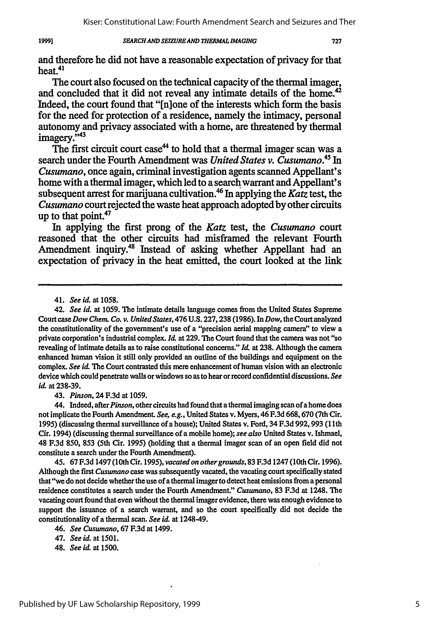Kiser: Constitutional Law: Fourth Amendment Search and Seizures and Ther

#### *SEARCHAND SEIZURE AND THERMAL IMAGING* 1999]

and therefore he did not have a reasonable expectation of privacy for that **heat.41**

The court also focused on the technical capacity of the thermal imager, and concluded that it did not reveal any intimate details of the home.<sup>42</sup> Indeed, the court found that "[n]one of the interests which form the basis for the need for protection of a residence, namely the intimacy, personal autonomy and privacy associated with a home, are threatened **by** thermal imagery."<sup>43</sup>

The first circuit court case<sup>44</sup> to hold that a thermal imager scan was a search under the Fourth Amendment was *United States v. Cusumano.45* In *Cusumano,* once again, criminal investigation agents scanned Appellant's home with a thermal imager, which led to a search warrant and Appellant's subsequent arrest for marijuana cultivation.46 In applying the *Katz* test, the *Cusumano* court rejected the waste heat approach adopted **by** other circuits up to that point.<sup>47</sup>

In applying the first prong of the *Katz* test, the *Cusumano* court reasoned that the other circuits had misframed the relevant Fourth Amendment inquiry.<sup>48</sup> Instead of asking whether Appellant had an expectation of privacy in the heat emitted, the court looked at the link

43. *Pinson,* 24 F.3d at 1059.

44. Indeed, after *Pinson,* other circuits had found that a thermal imaging scan of a home does not implicate the Fourth Amendment. *See, e.g.,* United States v. Myers, 46 F.3d 668,670 (7th Cir. 1995) (discussing thermal surveillance of a house); United States v. Ford, 34 F.3d 992,993 (1 lth Cir. 1994) (discussing thermal surveillance of a mobile home); *see also* United States v. Ishmael, 48 F.3d 850, **853** (5th Cir. 1995) (holding that a thermal imager scan of an open field did not constitute a search under the Fourth Amendment).

*45.* 67 F.3d 1497(10th Cir. 1995), *vacatedon other grounds,* 83 F.3d 1247(10th Cir. 1996). Although the first *Cusumano* case was subsequently vacated, the vacating court specifically stated that "we do not decide whether the use of a thermal imager to detect heat emissions from a personal residence constitutes a search under the Fourth Amendment." *Cusumano,* **83** F.3d at 1248. The vacating court found that even without the thermal imager evidence, there was enough evidence to support the issuance of a search warrant, and so the court specifically did not decide the constitutionality of a thermal scan. *See id.* at 1248-49.

<sup>41.</sup> *See id.* at 1058.

<sup>42.</sup> *See id.* at **1059.** The intimate details language comes from the United States Supreme Court *case Dow Chem.* Co. *v. United States,476 U.S.* 227,238 (1986). In *Dow,* the Court analyzed the constitutionality of the government's use of a "precision aerial mapping camera" to view a private corporation's industrial complex. **Id.** at **229.** The Court found that the camera was not "so revealing of intimate details as to raise constitutional concerns." **Id.** at **238.** Although the camera enhanced human vision it still only provided an outline of the buildings and equipment on the complex. *See id* The Court contrasted this mere enhancement of human vision with an electronic device which could penetrate walls or windows so as to hear or record confidential discussions. *See id.* at 238-39.

<sup>46.</sup> *See Cusumano,* 67 F.3d at 1499.

<sup>47.</sup> *See id.* at 1501.

<sup>48.</sup> *See* **id.** at **1500.**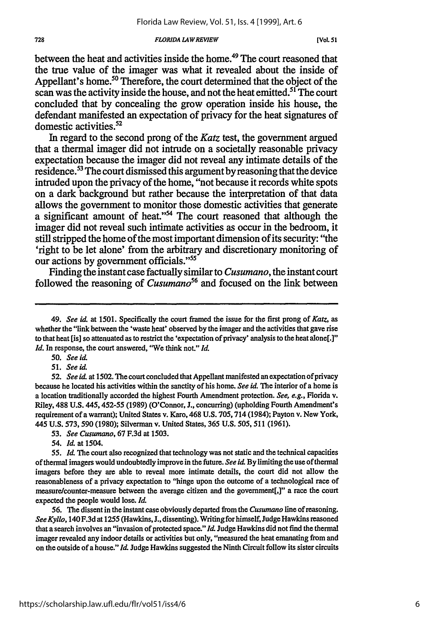#### *FLORIDA LAWREVIEW*

between the heat and activities inside the home.<sup>49</sup> The court reasoned that the true value of the imager was what it revealed about the inside of Appellant's home.<sup>50</sup> Therefore, the court determined that the object of the scan was the activity inside the house, and not the heat emitted.<sup>51</sup> The court concluded that **by** concealing the grow operation inside his house, the defendant manifested an expectation of privacy for the heat signatures of domestic activities.<sup>52</sup>

In regard to the second prong of the *Katz* test, the government argued that a thermal imager did not intrude on a societally reasonable privacy expectation because the imager did not reveal any intimate details of the residence.53 The court dismissed this argument **by** reasoning that the device intruded upon the privacy of the home, "not because it records white spots on a dark background but rather because the interpretation of that data allows the government to monitor those domestic activities that generate a significant amount of heat."<sup>54</sup> The court reasoned that although the imager did not reveal such intimate activities as occur in the bedroom, it still stripped the home of the most important dimension of its security: "the 'right to be let alone' from the arbitrary and discretionary monitoring of our actions **by** government officials."55

Finding the instant case factually similar to *Cusumano,* the instant court followed the reasoning of *Cusumano*<sup>56</sup> and focused on the link between

50. *See id.*

*51. See id.*

**52.** *See id.* at 1502. **The** court concluded that Appellant manifested an expectation of privacy because he located his activities within the sanctity of his home. *See id.* The interior of a home is a location traditionally accorded the highest Fourth Amendment protection. *See, e.g.,* Florida v. Riley, 488 **U.S.** 445,452-55 (1989) (O'Connor, J., concurring) (upholding Fourth Amendment's requirement of a warrant); United States v. Karo, 468 **U.S.** 705,714 (1984); Payton v. New York, 445 **U.S.** 573,590 (1980); Silverman v. United States, 365 U.S. *505,* 511 (1961).

53. *See Cusumano,* 67 F.3d at 1503.

*54. Id.* at 1504.

55. *Id.* The court also recognized that technology was not static and the technical capacities of thermal imagers would undoubtedly improve in the future. *See id.* **By** limiting the use of thermal imagers before they are able to reveal more intimate details, the court did not allow the reasonableness of a privacy expectation to "hinge upon the outcome of a technological race of measure/counter-measure between the average citizen and the government[,]" a race the court expected the people would lose, *Id.*

56. The dissent in the instant case obviously departed from the *Cusumano* line of reasoning. *See Kyllo,* 140 F.3d at 1255 (Hawkins, **J.,** dissenting). Writing for himself, Judge Hawkins reasoned that a search involves an "invasion of protected space." *Id.* Judge Hawkins did not find the thermal imager revealed any indoor details or activities but only, "measured the heat emanating from and on the outside of a house." *Id.* Judge Hawkins suggested the Ninth Circuit follow its sister circuits

<sup>49.</sup> *See idL* at 1501. Specifically the court framed the issue for the first prong of *Katz,* as whether the "link between the 'waste heat' observed **by** the imager and the activities that gave rise to that heat [is] so attenuated as to restrict the 'expectation of privacy' analysis to the heat alone[.]" *Id.* In response, the court answered, "We think not." *Id.*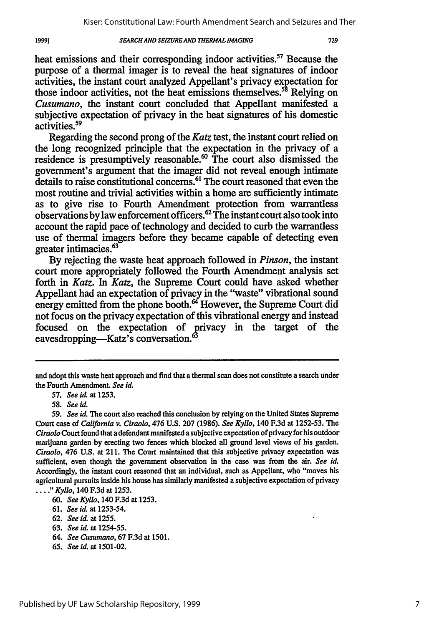#### *SEARCH AND SEIZUREAND 7IERMAL IMAGING*

heat emissions and their corresponding indoor activities.<sup>57</sup> Because the purpose of a thermal imager is to reveal the heat signatures of indoor activities, the instant court analyzed Appellant's privacy expectation for those indoor activities, not the heat emissions themselves.<sup>58</sup> Relying on *Cusumano,* the instant court concluded that Appellant manifested a subjective expectation of privacy in the heat signatures of his domestic activities.<sup>59</sup>

Regarding the second prong of the *Katz* test, the instant court relied on the long recognized principle that the expectation in the privacy of a residence is presumptively reasonable.<sup>60</sup> The court also dismissed the government's argument that the imager did not reveal enough intimate details to raise constitutional concerns.<sup>61</sup> The court reasoned that even the most routine and trivial activities within a home are sufficiently intimate as to give rise to Fourth Amendment protection from warrantless observations by law enforcement officers.<sup>62</sup> The instant court also took into account the rapid pace of technology and decided to curb the warrantless use of thermal imagers before they became capable of detecting even greater intimacies.<sup>63</sup>

By rejecting the waste heat approach followed in *Pinson,* the instant court more appropriately followed the Fourth Amendment analysis set forth in *Katz. In Katz,* the Supreme Court could have asked whether Appellant had an expectation of privacy in the "waste" vibrational sound energy emitted from the phone booth.<sup>64</sup> However, the Supreme Court did not focus on the privacy expectation of this vibrational energy and instead focused on the expectation of privacy in the target of the eavesdropping—Katz's conversation.<sup>67</sup>

- 64. *See Cusumano,* 67 F.3d at 1501.
- 65. *See* id. at 1501-02.

19991

and adopt this waste heat approach and find that a thermal scan does not constitute a search under the Fourth Amendment. *See* **id.**

*<sup>57.</sup> See* id. at **1253.**

<sup>58.</sup> *See id.*

<sup>59.</sup> *See id.* The court also reached this conclusion **by** relying on the United States Supreme Court case of *California v. Ciraolo,* 476 **U.S. 207** (1986). *See Kyllo,* 140 F.3d at 1252-53. The *Ciraolo* Court found that a defendant manifested a subjective expectation of privacy for his outdoor marijuana garden **by** erecting two fences which blocked all ground level views of his garden. *Ciraolo,* 476 **U.S.** at 211. The Court maintained that this subjective privacy expectation was sufficient, even though the government observation in the case was from the air. *See id.* Accordingly, the instant court reasoned that an individual, such as Appellant, who "moves his agricultural pursuits inside his house has similarly manifested a subjective expectation of privacy ...." *Kyllo,* 140 F.3d at **1253.**

<sup>60.</sup> *See Kyllo,* 140 F.3d at **1253.**

<sup>61.</sup> *See hi.* at 1253-54.

**<sup>62.</sup>** *See id.* at 1255.

<sup>63.</sup> *See id.* at 1254-55.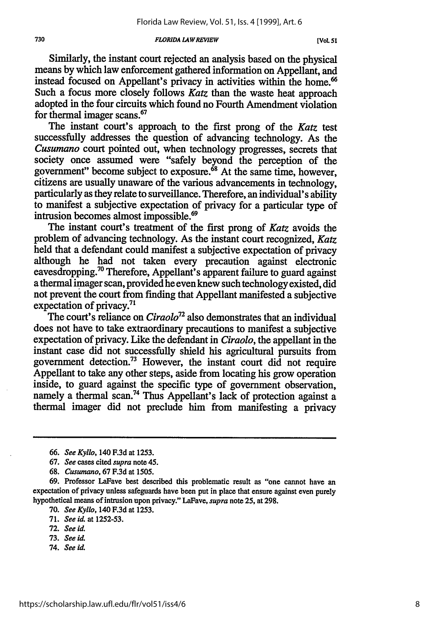#### *FLORIDA LAWREVIEW*

Similarly, the instant court rejected an analysis based on the physical means by which law enforcement gathered information on Appellant, and instead focused on Appellant's privacy in activities within the home.<sup>66</sup> Such a focus more closely follows Katz than the waste heat approach adopted in the four circuits which found no Fourth Amendment violation for thermal imager scans.67

The instant court's approach to the first prong of the *Katz* test successfully addresses the question of advancing technology. As the *Cusumano* court pointed out, when technology progresses, secrets that society once assumed were "safely beyond the perception of the government" become subject to exposure. $68$  At the same time, however, citizens are usually unaware of the various advancements in technology, particularly as they relate to surveillance. Therefore, an individual's ability to manifest a subjective expectation of privacy for a particular type of intrusion becomes almost impossible.<sup>69</sup>

The instant court's treatment of the first prong of *Katz* avoids the problem of advancing technology. As the instant court recognized, *Katz* held that a defendant could manifest a subjective expectation of privacy although he had not taken every precaution against electronic eavesdropping.<sup>70</sup> Therefore, Appellant's apparent failure to guard against a thermal imager scan, provided he even knew such technology existed, did not prevent the court from finding that Appellant manifested a subjective expectation of privacy.<sup>71</sup>

The court's reliance on *Ciraolo72* also demonstrates that an individual does not have to take extraordinary precautions to manifest a subjective expectation of privacy. Like the defendant in *Ciraolo,* the appellant in the instant case did not successfully shield his agricultural pursuits from government detection.<sup>73</sup> However, the instant court did not require Appellant to take any other steps, aside from locating his grow operation inside, to guard against the specific type of government observation, namely a thermal scan.<sup>74</sup> Thus Appellant's lack of protection against a thermal imager did not preclude him from manifesting a privacy

68. *Cusumano,* **67 F.3d** at 1505.

74. *See id*

730

*<sup>66.</sup> See Kyllo,* 140 **F.3d** at 1253.

**<sup>67.</sup>** *See* cases cited *supra* note 45.

<sup>69.</sup> Professor LaFave best described this problematic result as "one cannot have an expectation of privacy unless safeguards have been put in place that ensure against even purely hypothetical means of intrusion upon privacy." LaFave, *supra* note 25, at 298.

**<sup>70.</sup>** *See Kyllo,* 140 **F.3d** at 1253.

**<sup>71.</sup>** *See id.* at 1252-53.

**<sup>72.</sup>** *See id.*

<sup>73.</sup> *See U*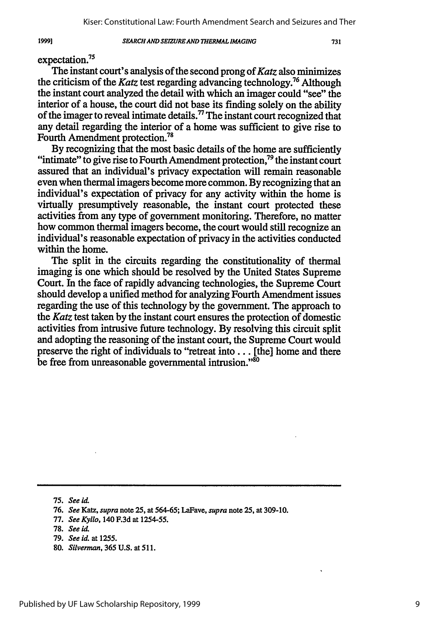#### *SEARCH AND SEIZURE AND THERMAL IMAGING*

expectation.<sup>75</sup>

The instant court's analysis of the second prong of *Katz* also minimizes the criticism of the *Katz* test regarding advancing technology.76 Although the instant court analyzed the detail with which an imager could "see" the interior of a house, the court did not base its finding solely on the ability of the imager to reveal intimate details." The instant court recognized that any detail regarding the interior of a home was sufficient to give rise to Fourth Amendment protection.<sup>78</sup>

**By** recognizing that the most basic details of the home are sufficiently "intimate" to give rise to Fourth Amendment protection, $^{79}$  the instant court assured that an individual's privacy expectation will remain reasonable even when thermal imagers become more common. **By** recognizing that an individual's expectation of privacy for any activity within the home is virtually presumptively reasonable, the instant court protected these activities from any type of government monitoring. Therefore, no matter how common thermal imagers become, the court would still recognize an individual's reasonable expectation of privacy in the activities conducted within the home.

The split in the circuits regarding the constitutionality of thermal imaging is one which should be resolved **by** the United States Supreme Court. In the face of rapidly advancing technologies, the Supreme Court should develop a unified method for analyzing Fourth Amendment issues regarding the use of this technology **by** the government. The approach to the *Katz* test taken **by** the instant court ensures the protection of domestic activities from intrusive future technology. **By** resolving this circuit split and adopting the reasoning of the instant court, the Supreme Court would preserve the right of individuals to "retreat **into...** [the] home and there be free from unreasonable governmental intrusion."<sup>80</sup>

**80.** *Silverman,* **365 U.S.** at **511.**

*1999)*

**<sup>75.</sup>** *See* **id**

**<sup>76.</sup>** *See Katz, supra* note **25, at 564-65;** LaFave, *supra* note **25, at 309-10.**

**<sup>77.</sup>** *See Kyllo,* 140 **F.3d** at **1254-55.**

**<sup>78.</sup>** *See* **id.**

**<sup>79.</sup>** *See id.* at **1255.**